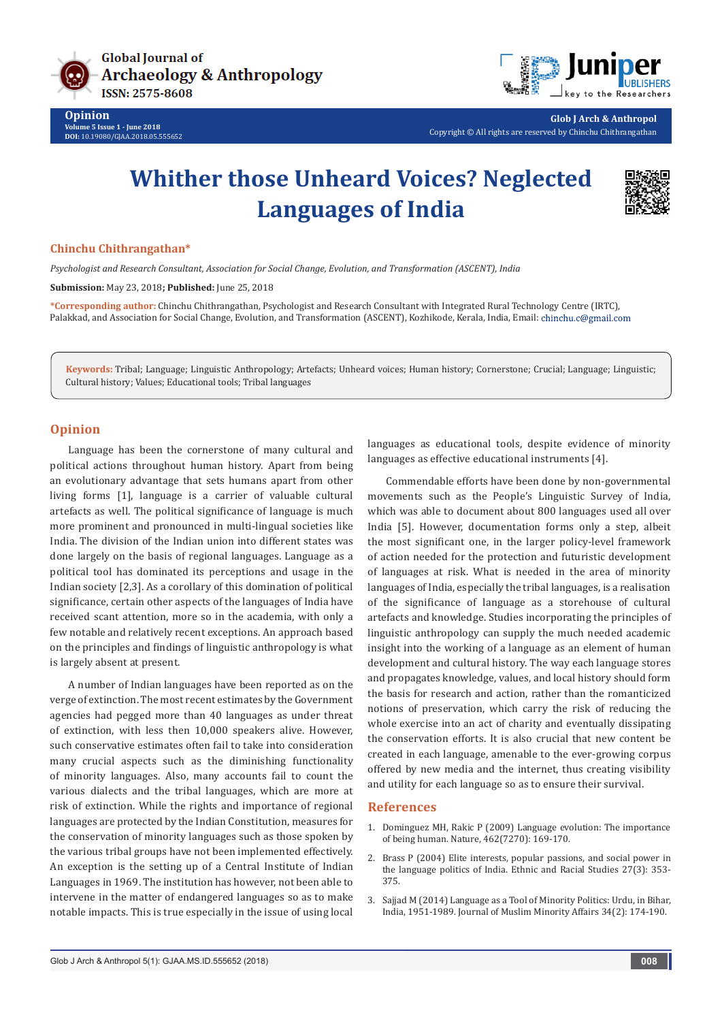



**Glob J Arch & Anthropol** Copyright © All rights are reserved by Chinchu Chithrangathan

## **Whither those Unheard Voices? Neglected Languages of India**



## **Chinchu Chithrangathan\***

*Psychologist and Research Consultant, Association for Social Change, Evolution, and Transformation (ASCENT), India*

**Submission:** May 23, 2018**; Published:** June 25, 2018

**\*Corresponding author:** Chinchu Chithrangathan, Psychologist and Research Consultant with Integrated Rural Technology Centre (IRTC), Palakkad, and Association for Social Change, Evolution, and Transformation (ASCENT), Kozhikode, Kerala, India, Email: chinchu.c@gmail.com

**Keywords:** Tribal; Language; Linguistic Anthropology; Artefacts; Unheard voices; Human history; Cornerstone; Crucial; Language; Linguistic; Cultural history; Values; Educational tools; Tribal languages

## **Opinion**

Language has been the cornerstone of many cultural and political actions throughout human history. Apart from being an evolutionary advantage that sets humans apart from other living forms [1], language is a carrier of valuable cultural artefacts as well. The political significance of language is much more prominent and pronounced in multi-lingual societies like India. The division of the Indian union into different states was done largely on the basis of regional languages. Language as a political tool has dominated its perceptions and usage in the Indian society [2,3]. As a corollary of this domination of political significance, certain other aspects of the languages of India have received scant attention, more so in the academia, with only a few notable and relatively recent exceptions. An approach based on the principles and findings of linguistic anthropology is what is largely absent at present.

A number of Indian languages have been reported as on the verge of extinction. The most recent estimates by the Government agencies had pegged more than 40 languages as under threat of extinction, with less then 10,000 speakers alive. However, such conservative estimates often fail to take into consideration many crucial aspects such as the diminishing functionality of minority languages. Also, many accounts fail to count the various dialects and the tribal languages, which are more at risk of extinction. While the rights and importance of regional languages are protected by the Indian Constitution, measures for the conservation of minority languages such as those spoken by the various tribal groups have not been implemented effectively. An exception is the setting up of a Central Institute of Indian Languages in 1969. The institution has however, not been able to intervene in the matter of endangered languages so as to make notable impacts. This is true especially in the issue of using local

languages as educational tools, despite evidence of minority languages as effective educational instruments [4].

Commendable efforts have been done by non-governmental movements such as the People's Linguistic Survey of India, which was able to document about 800 languages used all over India [5]. However, documentation forms only a step, albeit the most significant one, in the larger policy-level framework of action needed for the protection and futuristic development of languages at risk. What is needed in the area of minority languages of India, especially the tribal languages, is a realisation of the significance of language as a storehouse of cultural artefacts and knowledge. Studies incorporating the principles of linguistic anthropology can supply the much needed academic insight into the working of a language as an element of human development and cultural history. The way each language stores and propagates knowledge, values, and local history should form the basis for research and action, rather than the romanticized notions of preservation, which carry the risk of reducing the whole exercise into an act of charity and eventually dissipating the conservation efforts. It is also crucial that new content be created in each language, amenable to the ever-growing corpus offered by new media and the internet, thus creating visibility and utility for each language so as to ensure their survival.

## **References**

- 1. Dominguez MH, Rakic P (2009) Language evolution: The importance of being human. Nature, 462(7270): 169-170.
- 2. [Brass P \(2004\) Elite interests, popular passions, and social power in](https://www.tandfonline.com/doi/abs/10.1080/01491987042000189187) [the language politics of India. Ethnic and Racial Studies 27\(3\): 353-](https://www.tandfonline.com/doi/abs/10.1080/01491987042000189187) [375.](https://www.tandfonline.com/doi/abs/10.1080/01491987042000189187)
- 3. [Sajjad M \(2014\) Language as a Tool of Minority Politics: Urdu, in Bihar,](https://www.tandfonline.com/doi/abs/10.1080/13602004.2014.911970?journalCode=cjmm20) [India, 1951-1989. Journal of Muslim Minority Affairs 34\(2\): 174-190.](https://www.tandfonline.com/doi/abs/10.1080/13602004.2014.911970?journalCode=cjmm20)